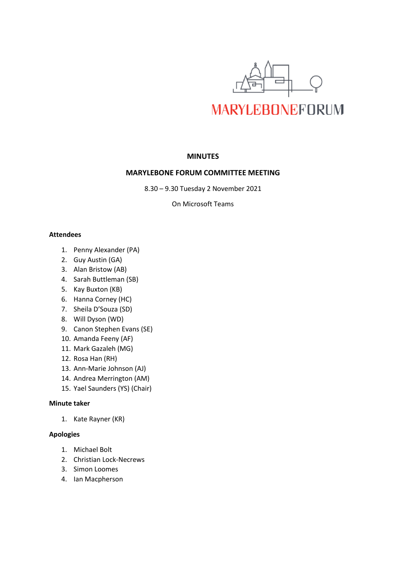

# **MINUTES**

# **MARYLEBONE FORUM COMMITTEE MEETING**

8.30 – 9.30 Tuesday 2 November 2021

On Microsoft Teams

### **Attendees**

- 1. Penny Alexander (PA)
- 2. Guy Austin (GA)
- 3. Alan Bristow (AB)
- 4. Sarah Buttleman (SB)
- 5. Kay Buxton (KB)
- 6. Hanna Corney (HC)
- 7. Sheila D'Souza (SD)
- 8. Will Dyson (WD)
- 9. Canon Stephen Evans (SE)
- 10. Amanda Feeny (AF)
- 11. Mark Gazaleh (MG)
- 12. Rosa Han (RH)
- 13. Ann-Marie Johnson (AJ)
- 14. Andrea Merrington (AM)
- 15. Yael Saunders (YS) (Chair)

# **Minute taker**

1. Kate Rayner (KR)

### **Apologies**

- 1. Michael Bolt
- 2. Christian Lock-Necrews
- 3. Simon Loomes
- 4. Ian Macpherson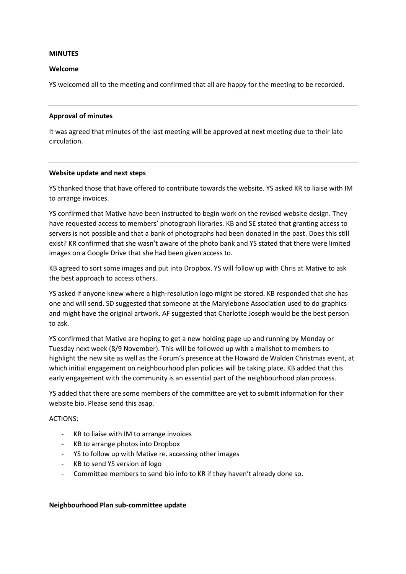#### **MINUTES**

#### **Welcome**

YS welcomed all to the meeting and confirmed that all are happy for the meeting to be recorded.

#### **Approval of minutes**

It was agreed that minutes of the last meeting will be approved at next meeting due to their late circulation.

#### **Website update and next steps**

YS thanked those that have offered to contribute towards the website. YS asked KR to liaise with IM to arrange invoices.

YS confirmed that Mative have been instructed to begin work on the revised website design. They have requested access to members' photograph libraries. KB and SE stated that granting access to servers is not possible and that a bank of photographs had been donated in the past. Does this still exist? KR confirmed that she wasn't aware of the photo bank and YS stated that there were limited images on a Google Drive that she had been given access to.

KB agreed to sort some images and put into Dropbox. YS will follow up with Chris at Mative to ask the best approach to access others.

YS asked if anyone knew where a high-resolution logo might be stored. KB responded that she has one and will send. SD suggested that someone at the Marylebone Association used to do graphics and might have the original artwork. AF suggested that Charlotte Joseph would be the best person to ask.

YS confirmed that Mative are hoping to get a new holding page up and running by Monday or Tuesday next week (8/9 November). This will be followed up with a mailshot to members to highlight the new site as well as the Forum's presence at the Howard de Walden Christmas event, at which initial engagement on neighbourhood plan policies will be taking place. KB added that this early engagement with the community is an essential part of the neighbourhood plan process.

YS added that there are some members of the committee are yet to submit information for their website bio. Please send this asap.

### ACTIONS:

- KR to liaise with IM to arrange invoices
- KB to arrange photos into Dropbox
- YS to follow up with Mative re. accessing other images
- KB to send YS version of logo
- Committee members to send bio info to KR if they haven't already done so.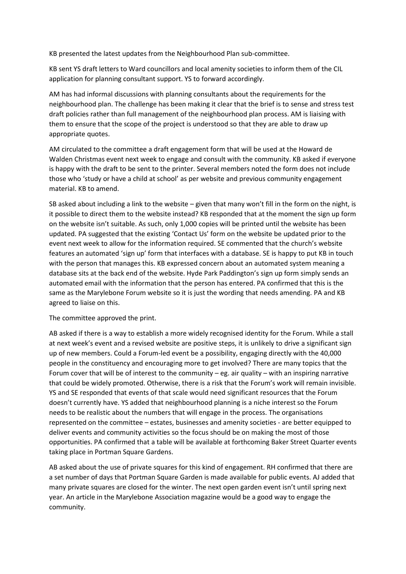KB presented the latest updates from the Neighbourhood Plan sub-committee.

KB sent YS draft letters to Ward councillors and local amenity societies to inform them of the CIL application for planning consultant support. YS to forward accordingly.

AM has had informal discussions with planning consultants about the requirements for the neighbourhood plan. The challenge has been making it clear that the brief is to sense and stress test draft policies rather than full management of the neighbourhood plan process. AM is liaising with them to ensure that the scope of the project is understood so that they are able to draw up appropriate quotes.

AM circulated to the committee a draft engagement form that will be used at the Howard de Walden Christmas event next week to engage and consult with the community. KB asked if everyone is happy with the draft to be sent to the printer. Several members noted the form does not include those who 'study or have a child at school' as per website and previous community engagement material. KB to amend.

SB asked about including a link to the website – given that many won't fill in the form on the night, is it possible to direct them to the website instead? KB responded that at the moment the sign up form on the website isn't suitable. As such, only 1,000 copies will be printed until the website has been updated. PA suggested that the existing 'Contact Us' form on the website be updated prior to the event next week to allow for the information required. SE commented that the church's website features an automated 'sign up' form that interfaces with a database. SE is happy to put KB in touch with the person that manages this. KB expressed concern about an automated system meaning a database sits at the back end of the website. Hyde Park Paddington's sign up form simply sends an automated email with the information that the person has entered. PA confirmed that this is the same as the Marylebone Forum website so it is just the wording that needs amending. PA and KB agreed to liaise on this.

### The committee approved the print.

AB asked if there is a way to establish a more widely recognised identity for the Forum. While a stall at next week's event and a revised website are positive steps, it is unlikely to drive a significant sign up of new members. Could a Forum-led event be a possibility, engaging directly with the 40,000 people in the constituency and encouraging more to get involved? There are many topics that the Forum cover that will be of interest to the community – eg. air quality – with an inspiring narrative that could be widely promoted. Otherwise, there is a risk that the Forum's work will remain invisible. YS and SE responded that events of that scale would need significant resources that the Forum doesn't currently have. YS added that neighbourhood planning is a niche interest so the Forum needs to be realistic about the numbers that will engage in the process. The organisations represented on the committee – estates, businesses and amenity societies - are better equipped to deliver events and community activities so the focus should be on making the most of those opportunities. PA confirmed that a table will be available at forthcoming Baker Street Quarter events taking place in Portman Square Gardens.

AB asked about the use of private squares for this kind of engagement. RH confirmed that there are a set number of days that Portman Square Garden is made available for public events. AJ added that many private squares are closed for the winter. The next open garden event isn't until spring next year. An article in the Marylebone Association magazine would be a good way to engage the community.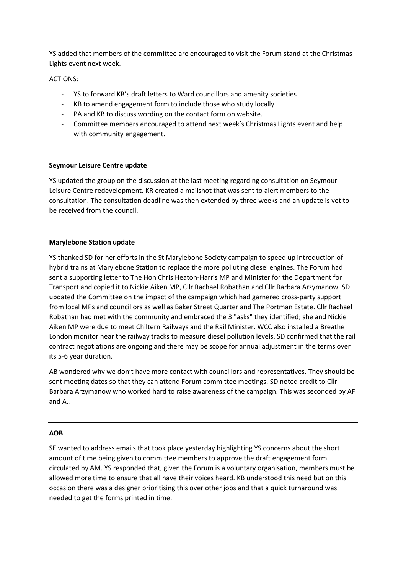YS added that members of the committee are encouraged to visit the Forum stand at the Christmas Lights event next week.

# ACTIONS:

- YS to forward KB's draft letters to Ward councillors and amenity societies
- KB to amend engagement form to include those who study locally
- PA and KB to discuss wording on the contact form on website.
- Committee members encouraged to attend next week's Christmas Lights event and help with community engagement.

### **Seymour Leisure Centre update**

YS updated the group on the discussion at the last meeting regarding consultation on Seymour Leisure Centre redevelopment. KR created a mailshot that was sent to alert members to the consultation. The consultation deadline was then extended by three weeks and an update is yet to be received from the council.

# **Marylebone Station update**

YS thanked SD for her efforts in the St Marylebone Society campaign to speed up introduction of hybrid trains at Marylebone Station to replace the more polluting diesel engines. The Forum had sent a supporting letter to The Hon Chris Heaton-Harris MP and Minister for the Department for Transport and copied it to Nickie Aiken MP, Cllr Rachael Robathan and Cllr Barbara Arzymanow. SD updated the Committee on the impact of the campaign which had garnered cross-party support from local MPs and councillors as well as Baker Street Quarter and The Portman Estate. Cllr Rachael Robathan had met with the community and embraced the 3 "asks" they identified; she and Nickie Aiken MP were due to meet Chiltern Railways and the Rail Minister. WCC also installed a Breathe London monitor near the railway tracks to measure diesel pollution levels. SD confirmed that the rail contract negotiations are ongoing and there may be scope for annual adjustment in the terms over its 5-6 year duration.

AB wondered why we don't have more contact with councillors and representatives. They should be sent meeting dates so that they can attend Forum committee meetings. SD noted credit to Cllr Barbara Arzymanow who worked hard to raise awareness of the campaign. This was seconded by AF and AJ.

# **AOB**

SE wanted to address emails that took place yesterday highlighting YS concerns about the short amount of time being given to committee members to approve the draft engagement form circulated by AM. YS responded that, given the Forum is a voluntary organisation, members must be allowed more time to ensure that all have their voices heard. KB understood this need but on this occasion there was a designer prioritising this over other jobs and that a quick turnaround was needed to get the forms printed in time.